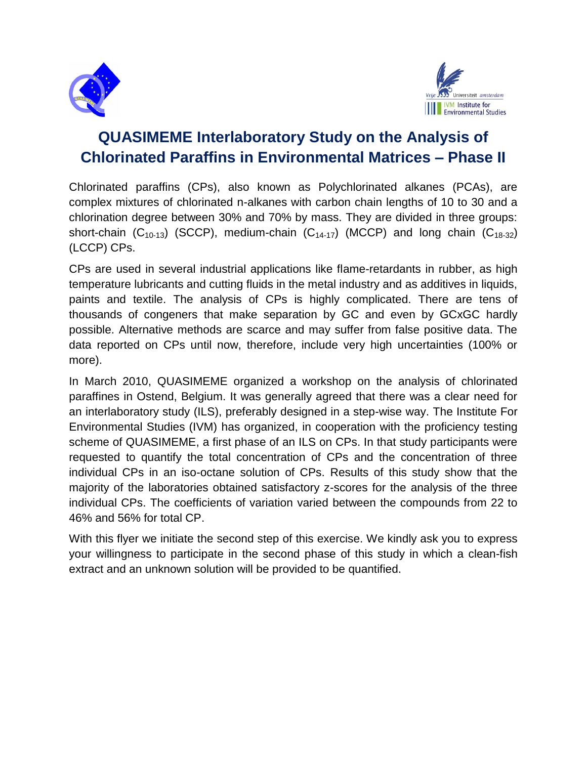



# **QUASIMEME Interlaboratory Study on the Analysis of Chlorinated Paraffins in Environmental Matrices – Phase II**

Chlorinated paraffins (CPs), also known as Polychlorinated alkanes (PCAs), are complex mixtures of chlorinated n-alkanes with carbon chain lengths of 10 to 30 and a chlorination degree between 30% and 70% by mass. They are divided in three groups: short-chain  $(C_{10-13})$  (SCCP), medium-chain  $(C_{14-17})$  (MCCP) and long chain  $(C_{18-32})$ (LCCP) CPs.

CPs are used in several industrial applications like flame-retardants in rubber, as high temperature lubricants and cutting fluids in the metal industry and as additives in liquids, paints and textile. The analysis of CPs is highly complicated. There are tens of thousands of congeners that make separation by GC and even by GCxGC hardly possible. Alternative methods are scarce and may suffer from false positive data. The data reported on CPs until now, therefore, include very high uncertainties (100% or more).

In March 2010, QUASIMEME organized a workshop on the analysis of chlorinated paraffines in Ostend, Belgium. It was generally agreed that there was a clear need for an interlaboratory study (ILS), preferably designed in a step-wise way. The Institute For Environmental Studies (IVM) has organized, in cooperation with the proficiency testing scheme of QUASIMEME, a first phase of an ILS on CPs. In that study participants were requested to quantify the total concentration of CPs and the concentration of three individual CPs in an iso-octane solution of CPs. Results of this study show that the majority of the laboratories obtained satisfactory z-scores for the analysis of the three individual CPs. The coefficients of variation varied between the compounds from 22 to 46% and 56% for total CP.

With this flyer we initiate the second step of this exercise. We kindly ask you to express your willingness to participate in the second phase of this study in which a clean-fish extract and an unknown solution will be provided to be quantified.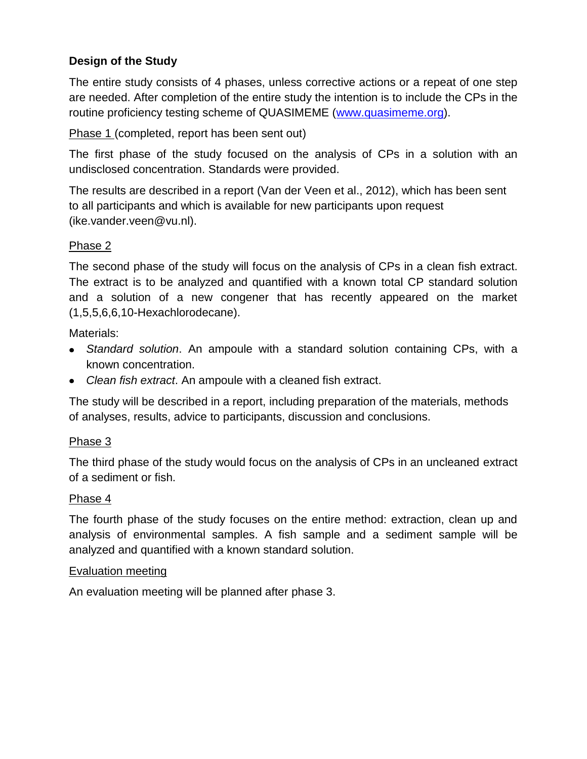# **Design of the Study**

The entire study consists of 4 phases, unless corrective actions or a repeat of one step are needed. After completion of the entire study the intention is to include the CPs in the routine proficiency testing scheme of QUASIMEME [\(www.quasimeme.org\)](http://www.quasimeme.org/).

Phase 1 (completed, report has been sent out)

The first phase of the study focused on the analysis of CPs in a solution with an undisclosed concentration. Standards were provided.

The results are described in a report (Van der Veen et al., 2012), which has been sent to all participants and which is available for new participants upon request (ike.vander.veen@vu.nl).

## Phase 2

The second phase of the study will focus on the analysis of CPs in a clean fish extract. The extract is to be analyzed and quantified with a known total CP standard solution and a solution of a new congener that has recently appeared on the market (1,5,5,6,6,10-Hexachlorodecane).

Materials:

- *Standard solution*. An ampoule with a standard solution containing CPs, with a known concentration.
- *Clean fish extract*. An ampoule with a cleaned fish extract.

The study will be described in a report, including preparation of the materials, methods of analyses, results, advice to participants, discussion and conclusions.

## Phase 3

The third phase of the study would focus on the analysis of CPs in an uncleaned extract of a sediment or fish.

## Phase 4

The fourth phase of the study focuses on the entire method: extraction, clean up and analysis of environmental samples. A fish sample and a sediment sample will be analyzed and quantified with a known standard solution.

#### Evaluation meeting

An evaluation meeting will be planned after phase 3.